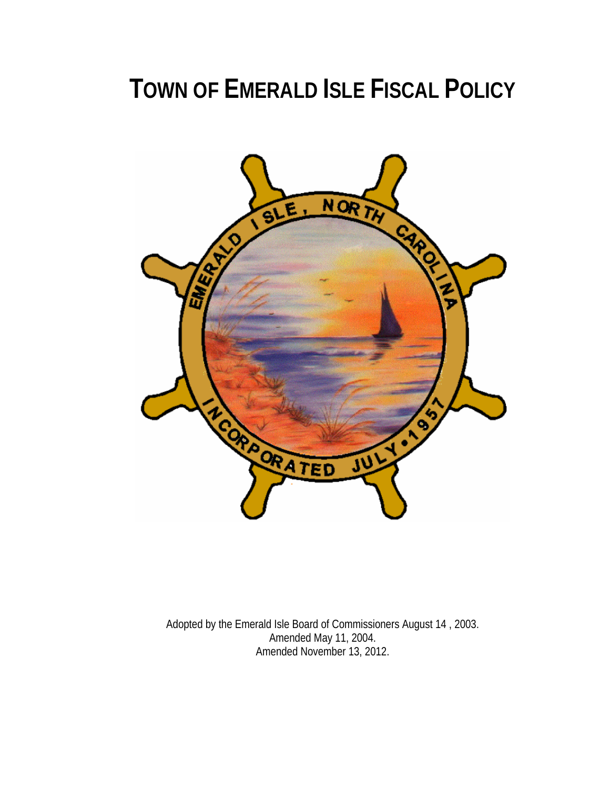# **TOWN OF EMERALD ISLE FISCAL POLICY**



Adopted by the Emerald Isle Board of Commissioners August 14 , 2003. Amended May 11, 2004. Amended November 13, 2012.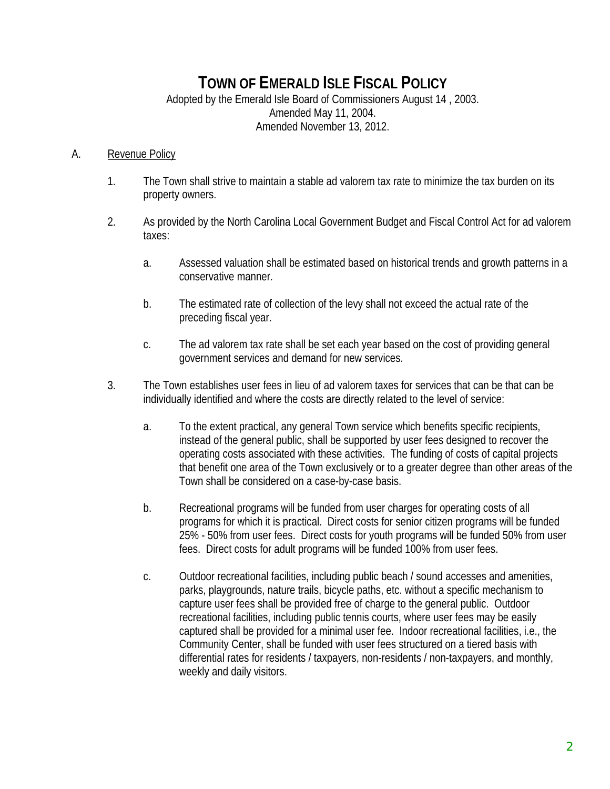# **TOWN OF EMERALD ISLE FISCAL POLICY**

Adopted by the Emerald Isle Board of Commissioners August 14 , 2003. Amended May 11, 2004. Amended November 13, 2012.

#### A. Revenue Policy

- 1. The Town shall strive to maintain a stable ad valorem tax rate to minimize the tax burden on its property owners.
- 2. As provided by the North Carolina Local Government Budget and Fiscal Control Act for ad valorem taxes:
	- a. Assessed valuation shall be estimated based on historical trends and growth patterns in a conservative manner.
	- b. The estimated rate of collection of the levy shall not exceed the actual rate of the preceding fiscal year.
	- c. The ad valorem tax rate shall be set each year based on the cost of providing general government services and demand for new services.
- 3. The Town establishes user fees in lieu of ad valorem taxes for services that can be that can be individually identified and where the costs are directly related to the level of service:
	- a. To the extent practical, any general Town service which benefits specific recipients, instead of the general public, shall be supported by user fees designed to recover the operating costs associated with these activities. The funding of costs of capital projects that benefit one area of the Town exclusively or to a greater degree than other areas of the Town shall be considered on a case-by-case basis.
	- b. Recreational programs will be funded from user charges for operating costs of all programs for which it is practical. Direct costs for senior citizen programs will be funded 25% - 50% from user fees. Direct costs for youth programs will be funded 50% from user fees. Direct costs for adult programs will be funded 100% from user fees.
	- c. Outdoor recreational facilities, including public beach / sound accesses and amenities, parks, playgrounds, nature trails, bicycle paths, etc. without a specific mechanism to capture user fees shall be provided free of charge to the general public. Outdoor recreational facilities, including public tennis courts, where user fees may be easily captured shall be provided for a minimal user fee. Indoor recreational facilities, i.e., the Community Center, shall be funded with user fees structured on a tiered basis with differential rates for residents / taxpayers, non-residents / non-taxpayers, and monthly, weekly and daily visitors.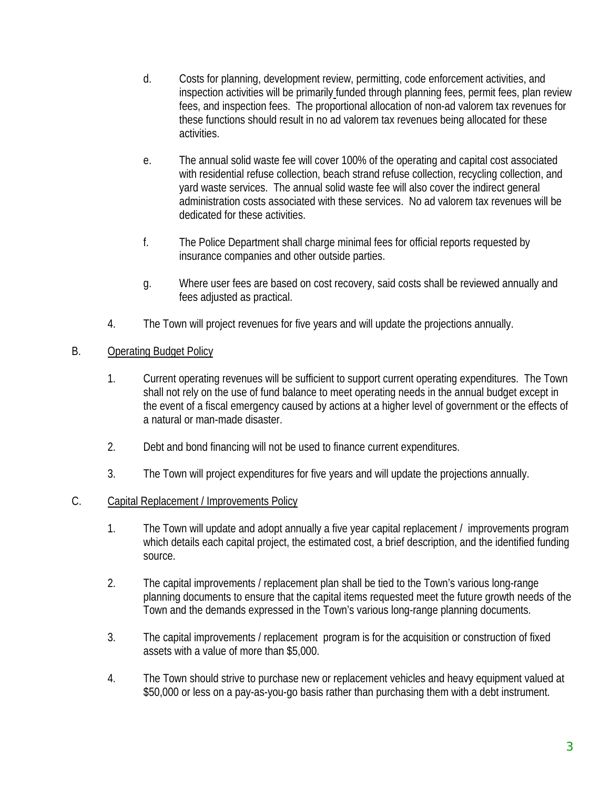- d. Costs for planning, development review, permitting, code enforcement activities, and inspection activities will be primarily funded through planning fees, permit fees, plan review fees, and inspection fees. The proportional allocation of non-ad valorem tax revenues for these functions should result in no ad valorem tax revenues being allocated for these activities.
- e. The annual solid waste fee will cover 100% of the operating and capital cost associated with residential refuse collection, beach strand refuse collection, recycling collection, and yard waste services. The annual solid waste fee will also cover the indirect general administration costs associated with these services. No ad valorem tax revenues will be dedicated for these activities.
- f. The Police Department shall charge minimal fees for official reports requested by insurance companies and other outside parties.
- g. Where user fees are based on cost recovery, said costs shall be reviewed annually and fees adjusted as practical.
- 4. The Town will project revenues for five years and will update the projections annually.

## B. Operating Budget Policy

- 1. Current operating revenues will be sufficient to support current operating expenditures. The Town shall not rely on the use of fund balance to meet operating needs in the annual budget except in the event of a fiscal emergency caused by actions at a higher level of government or the effects of a natural or man-made disaster.
- 2. Debt and bond financing will not be used to finance current expenditures.
- 3. The Town will project expenditures for five years and will update the projections annually.

### C. Capital Replacement / Improvements Policy

- 1. The Town will update and adopt annually a five year capital replacement / improvements program which details each capital project, the estimated cost, a brief description, and the identified funding source.
- 2. The capital improvements / replacement plan shall be tied to the Town's various long-range planning documents to ensure that the capital items requested meet the future growth needs of the Town and the demands expressed in the Town's various long-range planning documents.
- 3. The capital improvements / replacement program is for the acquisition or construction of fixed assets with a value of more than \$5,000.
- 4. The Town should strive to purchase new or replacement vehicles and heavy equipment valued at \$50,000 or less on a pay-as-you-go basis rather than purchasing them with a debt instrument.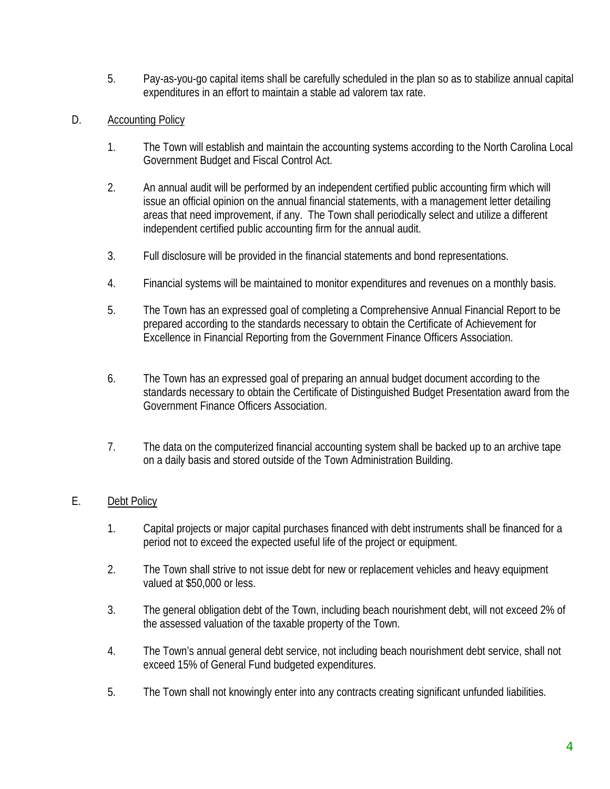- 5. Pay-as-you-go capital items shall be carefully scheduled in the plan so as to stabilize annual capital expenditures in an effort to maintain a stable ad valorem tax rate.
- D. Accounting Policy
	- 1. The Town will establish and maintain the accounting systems according to the North Carolina Local Government Budget and Fiscal Control Act.
	- 2. An annual audit will be performed by an independent certified public accounting firm which will issue an official opinion on the annual financial statements, with a management letter detailing areas that need improvement, if any. The Town shall periodically select and utilize a different independent certified public accounting firm for the annual audit.
	- 3. Full disclosure will be provided in the financial statements and bond representations.
	- 4. Financial systems will be maintained to monitor expenditures and revenues on a monthly basis.
	- 5. The Town has an expressed goal of completing a Comprehensive Annual Financial Report to be prepared according to the standards necessary to obtain the Certificate of Achievement for Excellence in Financial Reporting from the Government Finance Officers Association.
	- 6. The Town has an expressed goal of preparing an annual budget document according to the standards necessary to obtain the Certificate of Distinguished Budget Presentation award from the Government Finance Officers Association.
	- 7. The data on the computerized financial accounting system shall be backed up to an archive tape on a daily basis and stored outside of the Town Administration Building.

# E. Debt Policy

- 1. Capital projects or major capital purchases financed with debt instruments shall be financed for a period not to exceed the expected useful life of the project or equipment.
- 2. The Town shall strive to not issue debt for new or replacement vehicles and heavy equipment valued at \$50,000 or less.
- 3. The general obligation debt of the Town, including beach nourishment debt, will not exceed 2% of the assessed valuation of the taxable property of the Town.
- 4. The Town's annual general debt service, not including beach nourishment debt service, shall not exceed 15% of General Fund budgeted expenditures.
- 5. The Town shall not knowingly enter into any contracts creating significant unfunded liabilities.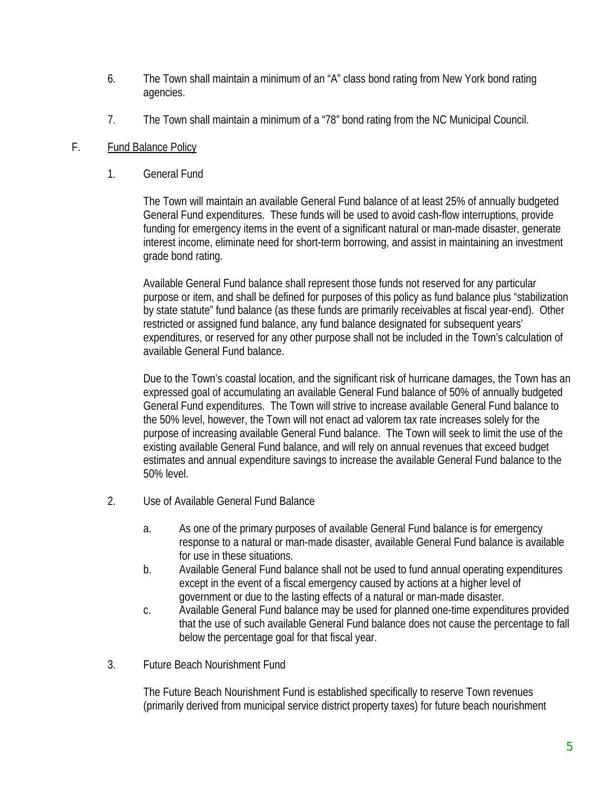- 6. The Town shall maintain a minimum of an "A" class bond rating from New York bond rating agencies.
- 7. The Town shall maintain a minimum of a "78" bond rating from the NC Municipal Council.

### F. Fund Balance Policy

1. General Fund

The Town will maintain an available General Fund balance of at least 25% of annually budgeted General Fund expenditures. These funds will be used to avoid cash-flow interruptions, provide funding for emergency items in the event of a significant natural or man-made disaster, generate interest income, eliminate need for short-term borrowing, and assist in maintaining an investment grade bond rating.

 Available General Fund balance shall represent those funds not reserved for any particular purpose or item, and shall be defined for purposes of this policy as fund balance plus "stabilization by state statute" fund balance (as these funds are primarily receivables at fiscal year-end). Other restricted or assigned fund balance, any fund balance designated for subsequent years' expenditures, or reserved for any other purpose shall not be included in the Town's calculation of available General Fund balance.

 Due to the Town's coastal location, and the significant risk of hurricane damages, the Town has an expressed goal of accumulating an available General Fund balance of 50% of annually budgeted General Fund expenditures. The Town will strive to increase available General Fund balance to the 50% level, however, the Town will not enact ad valorem tax rate increases solely for the purpose of increasing available General Fund balance. The Town will seek to limit the use of the existing available General Fund balance, and will rely on annual revenues that exceed budget estimates and annual expenditure savings to increase the available General Fund balance to the 50% level.

- 2. Use of Available General Fund Balance
	- a. As one of the primary purposes of available General Fund balance is for emergency response to a natural or man-made disaster, available General Fund balance is available for use in these situations.
	- b. Available General Fund balance shall not be used to fund annual operating expenditures except in the event of a fiscal emergency caused by actions at a higher level of government or due to the lasting effects of a natural or man-made disaster.
	- c. Available General Fund balance may be used for planned one-time expenditures provided that the use of such available General Fund balance does not cause the percentage to fall below the percentage goal for that fiscal year.
- 3. Future Beach Nourishment Fund

The Future Beach Nourishment Fund is established specifically to reserve Town revenues (primarily derived from municipal service district property taxes) for future beach nourishment